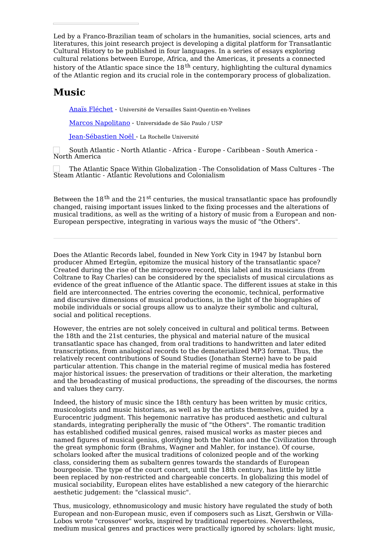Led by a Franco-Brazilian team of scholars in the humanities, social sciences, arts and literatures, this joint research project is developing a digital platform for Transatlantic Cultural History to be published in four languages. In a series of essays exploring cultural relations between Europe, Africa, and the Americas, it presents a connected history of the Atlantic space since the 18<sup>th</sup> century, highlighting the cultural dynamics of the Atlantic region and its crucial role in the contemporary process of globalization.

## **Music**

Anaïs [Fléchet](https://transatlantic-cultures.org/en/author/flechet) - Université de Versailles Saint-Quentin-en-Yvelines

Marcos [Napolitano](https://transatlantic-cultures.org/en/author/napolitano-ff2404c6-f567-49af-af40-7f3f03c12fc1) - Universidade de São Paulo / USP

[Jean-Sébastien](https://transatlantic-cultures.org/en/author/noel) Noël - La Rochelle Université

South Atlantic - North Atlantic - Africa - Europe - Caribbean - South America - North America

The Atlantic Space Within Globalization - The Consolidation of Mass Cultures - The Steam Atlantic - Atlantic Revolutions and Colonialism

Between the  $18^\text{th}$  and the  $21^\text{st}$  centuries, the musical transatlantic space has profoundly changed, raising important issues linked to the fixing processes and the alterations of musical traditions, as well as the writing of a history of music from a European and non-European perspective, integrating in various ways the music of "the Others".

Does the Atlantic Records label, founded in New York City in 1947 by Istanbul born producer Ahmed Ertegün, epitomize the musical history of the transatlantic space? Created during the rise of the microgroove record, this label and its musicians (from Coltrane to Ray Charles) can be considered by the specialists of musical circulations as evidence of the great influence of the Atlantic space. The different issues at stake in this field are interconnected. The entries covering the economic, technical, performative and discursive dimensions of musical productions, in the light of the biographies of mobile individuals or social groups allow us to analyze their symbolic and cultural, social and political receptions.

However, the entries are not solely conceived in cultural and political terms. Between the 18th and the 21st centuries, the physical and material nature of the musical transatlantic space has changed, from oral traditions to handwritten and later edited transcriptions, from analogical records to the dematerialized MP3 format. Thus, the relatively recent contributions of Sound Studies (Jonathan Sterne) have to be paid particular attention. This change in the material regime of musical media has fostered major historical issues: the preservation of traditions or their alteration, the marketing and the broadcasting of musical productions, the spreading of the discourses, the norms and values they carry.

Indeed, the history of music since the 18th century has been written by music critics, musicologists and music historians, as well as by the artists themselves, guided by a Eurocentric judgment. This hegemonic narrative has produced aesthetic and cultural standards, integrating peripherally the music of "the Others". The romantic tradition has established codified musical genres, raised musical works as master pieces and named figures of musical genius, glorifying both the Nation and the Civilization through the great symphonic form (Brahms, Wagner and Mahler, for instance). Of course, scholars looked after the musical traditions of colonized people and of the working class, considering them as subaltern genres towards the standards of European bourgeoisie. The type of the court concert, until the 18th century, has little by little been replaced by non-restricted and chargeable concerts. In globalizing this model of musical sociability, European elites have established a new category of the hierarchic aesthetic judgement: the "classical music".

Thus, musicology, ethnomusicology and music history have regulated the study of both European and non-European music, even if composers such as Liszt, Gershwin or Villa-Lobos wrote "crossover" works, inspired by traditional repertoires. Nevertheless, medium musical genres and practices were practically ignored by scholars: light music,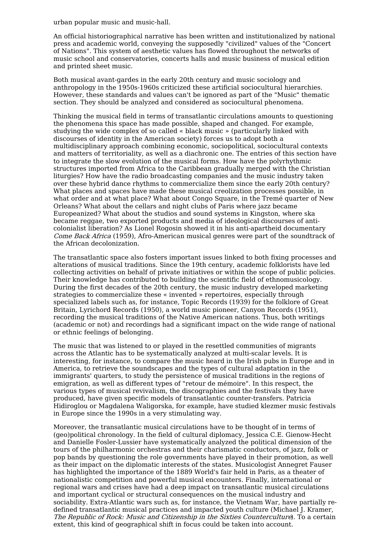urban popular music and music-hall.

An official historiographical narrative has been written and institutionalized by national press and academic world, conveying the supposedly "civilized" values of the "Concert of Nations". This system of aesthetic values has flowed throughout the networks of music school and conservatories, concerts halls and music business of musical edition and printed sheet music.

Both musical avant-gardes in the early 20th century and music sociology and anthropology in the 1950s-1960s criticized these artificial sociocultural hierarchies. However, these standards and values can't be ignored as part of the "Music" thematic section. They should be analyzed and considered as sociocultural phenomena.

Thinking the musical field in terms of transatlantic circulations amounts to questioning the phenomena this space has made possible, shaped and changed. For example, studying the wide complex of so called « black music » (particularly linked with discourses of identity in the American society) forces us to adopt both a multidisciplinary approach combining economic, sociopolitical, sociocultural contexts and matters of territoriality, as well as a diachronic one. The entries of this section have to integrate the slow evolution of the musical forms. How have the polyrhythmic structures imported from Africa to the Caribbean gradually merged with the Christian liturgies? How have the radio broadcasting companies and the music industry taken over these hybrid dance rhythms to commercialize them since the early 20th century? What places and spaces have made these musical creolization processes possible, in what order and at what place? What about Congo Square, in the Tremé quarter of New Orleans? What about the cellars and night clubs of Paris where jazz became Europeanized? What about the studios and sound systems in Kingston, where ska became reggae, two exported products and media of ideological discourses of anticolonialist liberation? As Lionel Rogosin showed it in his anti-apartheid documentary Come Back Africa (1959), Afro-American musical genres were part of the soundtrack of the African decolonization.

The transatlantic space also fosters important issues linked to both fixing processes and alterations of musical traditions. Since the 19th century, academic folklorists have led collecting activities on behalf of private initiatives or within the scope of public policies. Their knowledge has contributed to building the scientific field of ethnomusicology. During the first decades of the 20th century, the music industry developed marketing strategies to commercialize these « invented » repertoires, especially through specialized labels such as, for instance, Topic Records (1939) for the folklore of Great Britain, Lyrichord Records (1950), a world music pioneer, Canyon Records (1951), recording the musical traditions of the Native American nations. Thus, both writings (academic or not) and recordings had a significant impact on the wide range of national or ethnic feelings of belonging.

The music that was listened to or played in the resettled communities of migrants across the Atlantic has to be systematically analyzed at multi-scalar levels. It is interesting, for instance, to compare the music heard in the Irish pubs in Europe and in America, to retrieve the soundscapes and the types of cultural adaptation in the immigrants' quarters, to study the persistence of musical traditions in the regions of emigration, as well as different types of "retour de mémoire". In this respect, the various types of musical revivalism, the discographies and the festivals they have produced, have given specific models of transatlantic counter-transfers. Patricia Hidiroglou or Magdalena Waligorska, for example, have studied klezmer music festivals in Europe since the 1990s in a very stimulating way.

Moreover, the transatlantic musical circulations have to be thought of in terms of (geo)political chronology. In the field of cultural diplomacy, Jessica C.E. Gienow-Hecht and Danielle Fosler-Lussier have systematically analyzed the political dimension of the tours of the philharmonic orchestras and their charismatic conductors, of jazz, folk or pop bands by questioning the role governments have played in their promotion, as well as their impact on the diplomatic interests of the states. Musicologist Annegret Fauser has highlighted the importance of the 1889 World's fair held in Paris, as a theater of nationalistic competition and powerful musical encounters. Finally, international or regional wars and crises have had a deep impact on transatlantic musical circulations and important cyclical or structural consequences on the musical industry and sociability. Extra-Atlantic wars such as, for instance, the Vietnam War, have partially redefined transatlantic musical practices and impacted youth culture (Michael J. Kramer, The Republic of Rock: Music and Citizenship in the Sixties Counterculture). To a certain extent, this kind of geographical shift in focus could be taken into account.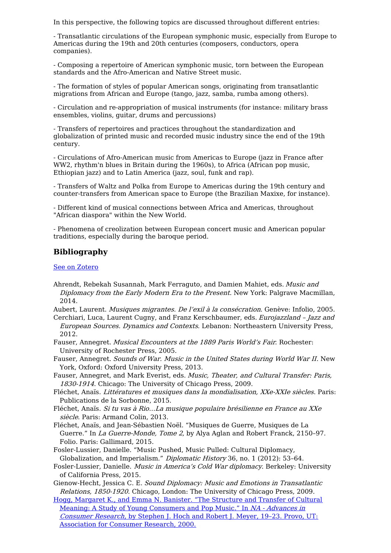In this perspective, the following topics are discussed throughout different entries:

- Transatlantic circulations of the European symphonic music, especially from Europe to Americas during the 19th and 20th centuries (composers, conductors, opera companies).

- Composing a repertoire of American symphonic music, torn between the European standards and the Afro-American and Native Street music.

- The formation of styles of popular American songs, originating from transatlantic migrations from African and Europe (tango, jazz, samba, rumba among others).

- Circulation and re-appropriation of musical instruments (for instance: military brass ensembles, violins, guitar, drums and percussions)

- Transfers of repertoires and practices throughout the standardization and globalization of printed music and recorded music industry since the end of the 19th century.

- Circulations of Afro-American music from Americas to Europe (jazz in France after WW2, rhythm'n blues in Britain during the 1960s), to Africa (African pop music, Ethiopian jazz) and to Latin America (jazz, soul, funk and rap).

- Transfers of Waltz and Polka from Europe to Americas during the 19th century and counter-transfers from American space to Europe (the Brazilian Maxixe, for instance).

- Different kind of musical connections between Africa and Americas, throughout "African diaspora" within the New World.

- Phenomena of creolization between European concert music and American popular traditions, especially during the baroque period.

## **Bibliography**

See on [Zotero](https://www.zotero.org/groups/1871378/transatlantic_cultures/tags/tracs-music/library)

Ahrendt, Rebekah Susannah, Mark Ferraguto, and Damien Mahiet, eds. Music and Diplomacy from the Early Modern Era to the Present. New York: Palgrave Macmillan, 2014.

Aubert, Laurent. Musiques migrantes. De l'exil à la consécration. Genève: Infolio, 2005.

- Cerchiari, Luca, Laurent Cugny, and Franz Kerschbaumer, eds. Eurojazzland Jazz and European Sources. Dynamics and Contexts. Lebanon: Northeastern University Press, 2012.
- Fauser, Annegret. Musical Encounters at the 1889 Paris World's Fair. Rochester: University of Rochester Press, 2005.

Fauser, Annegret. Sounds of War. Music in the United States during World War II. New York, Oxford: Oxford University Press, 2013.

- Fauser, Annegret, and Mark Everist, eds. Music, Theater, and Cultural Transfer: Paris, 1830-1914. Chicago: The University of Chicago Press, 2009.
- Fléchet, Anaïs. Littératures et musiques dans la mondialisation, XXe-XXIe siècles. Paris: Publications de la Sorbonne, 2015.
- Fléchet, Anaïs. Si tu vas à Rio…La musique populaire brésilienne en France au XXe siècle. Paris: Armand Colin, 2013.
- Fléchet, Anaïs, and Jean-Sébastien Noël. "Musiques de Guerre, Musiques de La Guerre." In La Guerre-Monde, Tome 2, by Alya Aglan and Robert Franck, 2150-97. Folio. Paris: Gallimard, 2015.
- Fosler-Lussier, Danielle. "Music Pushed, Music Pulled: Cultural Diplomacy, Globalization, and Imperialism." Diplomatic History 36, no. 1 (2012): 53-64.
- Fosler-Lussier, Danielle. Music in America's Cold War diplomacy. Berkeley: University of California Press, 2015.
- Gienow-Hecht, Jessica C. E. Sound Diplomacy: Music and Emotions in Transatlantic Relations, 1850-1920. Chicago, London: The University of Chicago Press, 2009.
- Hogg, Margaret K., and Emma N. Banister. "The Structure and Transfer of Cultural Meaning: A Study of Young Consumers and Pop Music." In NA - Advances in Consumer Research, by Stephen J. Hoch and Robert J. Meyer, 19–23. Provo, UT: Association for Consumer Research, 2000.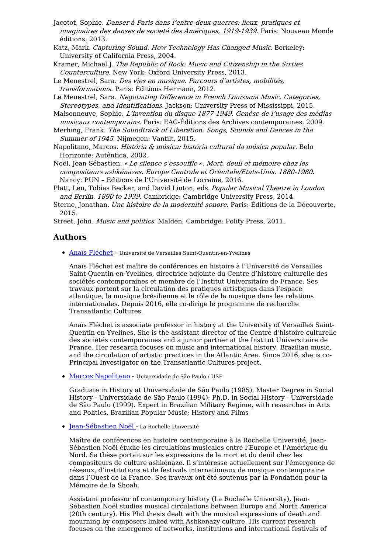- Jacotot, Sophie. Danser à Paris dans l'entre-deux-guerres: lieux, pratiques et imaginaires des danses de societé des Amériques, 1919-1939. Paris: Nouveau Monde éditions, 2013.
- Katz, Mark. Capturing Sound. How Technology Has Changed Music. Berkeley: University of California Press, 2004.
- Kramer, Michael J. The Republic of Rock: Music and Citizenship in the Sixties Counterculture. New York: Oxford University Press, 2013.
- Le Menestrel, Sara. Des vies en musique. Parcours d'artistes, mobilités, transformations. Paris: Éditions Hermann, 2012.
- Le Menestrel, Sara. Negotiating Difference in French Louisiana Music. Categories, Stereotypes, and Identifications. Jackson: University Press of Mississippi, 2015.

Maisonneuve, Sophie. L'invention du disque 1877-1949. Genèse de l'usage des médias musicaux contemporains. Paris: EAC-Éditions des Archives contemporaines, 2009.

- Merhing, Frank. The Soundtrack of Liberation: Songs, Sounds and Dances in the Summer of 1945. Nijmegen: Vantilt, 2015.
- Napolitano, Marcos. História & música: história cultural da música popular. Belo Horizonte: Autêntica, 2002.

Noël, Jean-Sébastien. « Le silence <sup>s</sup>'essouffle ». Mort, deuil et mémoire chez les compositeurs ashkénazes. Europe Centrale et Orientale/Etats-Unis. 1880-1980. Nancy: PUN – Editions de l'Université de Lorraine, 2016.

- Platt, Len, Tobias Becker, and David Linton, eds. Popular Musical Theatre in London and Berlin. 1890 to 1939. Cambridge: Cambridge University Press, 2014.
- Sterne, Jonathan. Une histoire de la modernité sonore. Paris: Éditions de la Découverte, 2015.

Street, John. Music and politics. Malden, Cambridge: Polity Press, 2011.

## **Authors**

Anaïs [Fléchet](https://transatlantic-cultures.org/en/author/flechet) - Université de Versailles Saint-Quentin-en-Yvelines

Anaïs Fléchet est maître de conférences en histoire à l'Université de Versailles Saint-Quentin-en-Yvelines, directrice adjointe du Centre d'histoire culturelle des sociétés contemporaines et membre de l'Institut Universitaire de France. Ses travaux portent sur la circulation des pratiques artistiques dans l'espace atlantique, la musique brésilienne et le rôle de la musique dans les relations internationales. Depuis 2016, elle co-dirige le programme de recherche Transatlantic Cultures.

Anaïs Fléchet is associate professor in history at the University of Versailles Saint-Quentin-en-Yvelines. She is the assistant director of the Centre d'histoire culturelle des sociétés contemporaines and a junior partner at the Institut Universitaire de France. Her research focuses on music and international history, Brazilian music, and the circulation of artistic practices in the Atlantic Area. Since 2016, she is co-Principal Investigator on the Transatlantic Cultures project.

 $\bullet$  Marcos [Napolitano](https://transatlantic-cultures.org/en/author/napolitano-ff2404c6-f567-49af-af40-7f3f03c12fc1) - Universidade de São Paulo / USP

Graduate in History at Universidade de São Paulo (1985), Master Degree in Social History - Universidade de São Paulo (1994); Ph.D. in Social History - Universidade de São Paulo (1999). Expert in Brazilian Military Regime, with researches in Arts and Politics, Brazilian Popular Music; History and Films

[Jean-Sébastien](https://transatlantic-cultures.org/en/author/noel) Noël - La Rochelle Université

Maître de conférences en histoire contemporaine à la Rochelle Université, Jean-Sébastien Noël étudie les circulations musicales entre l'Europe et l'Amérique du Nord. Sa thèse portait sur les expressions de la mort et du deuil chez les compositeurs de culture ashkénaze. Il s'intéresse actuellement sur l'émergence de réseaux, d'institutions et de festivals internationaux de musique contemporaine dans l'Ouest de la France. Ses travaux ont été soutenus par la Fondation pour la Mémoire de la Shoah.

Assistant professor of contemporary history (La Rochelle University), Jean-Sébastien Noël studies musical circulations between Europe and North America (20th century). His Phd thesis dealt with the musical expressions of death and mourning by composers linked with Ashkenazy culture. His current research focuses on the emergence of networks, institutions and international festivals of